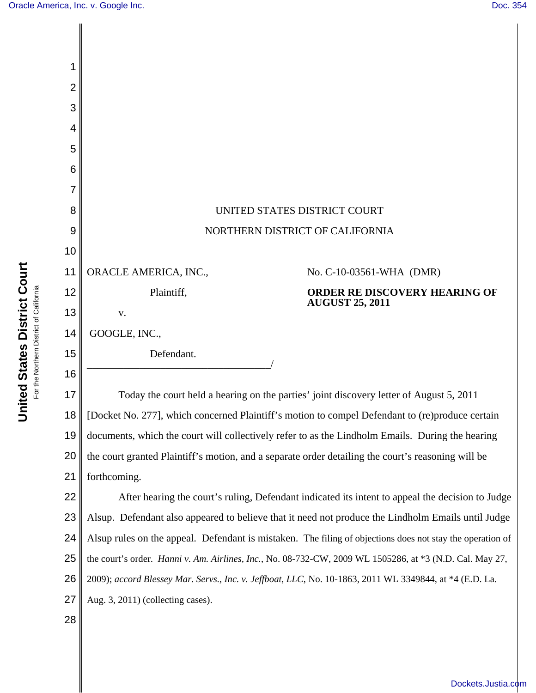